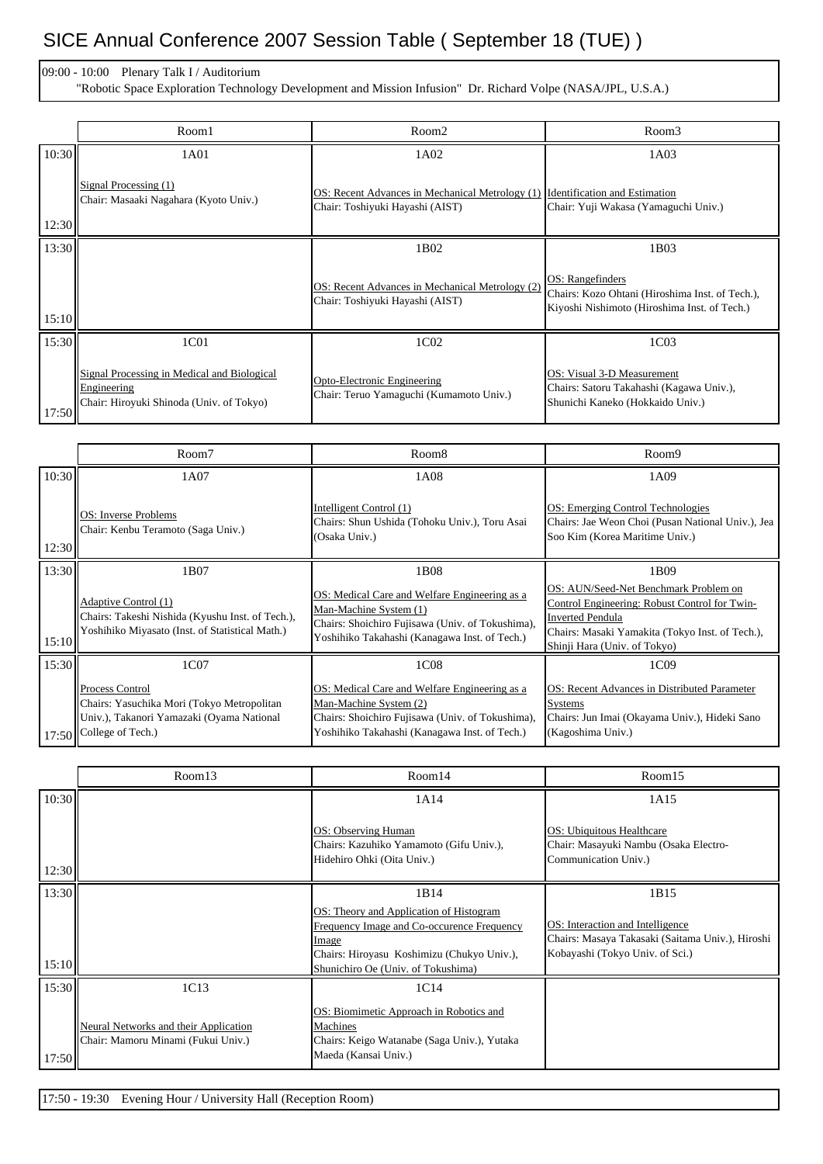## SICE Annual Conference 2007 Session Table ( September 18 (TUE) )

09:00 - 10:00 Plenary Talk I / Auditorium

"Robotic Space Exploration Technology Development and Mission Infusion" Dr. Richard Volpe (NASA/JPL, U.S.A.)

|       | Room1                                                                                                  | Room <sub>2</sub>                                                                                                | Room3                                                                                                               |
|-------|--------------------------------------------------------------------------------------------------------|------------------------------------------------------------------------------------------------------------------|---------------------------------------------------------------------------------------------------------------------|
| 10:30 | 1A01                                                                                                   | 1A02                                                                                                             | 1A03                                                                                                                |
| 12:30 | Signal Processing (1)<br>Chair: Masaaki Nagahara (Kyoto Univ.)                                         | OS: Recent Advances in Mechanical Metrology (1) Identification and Estimation<br>Chair: Toshiyuki Hayashi (AIST) | Chair: Yuji Wakasa (Yamaguchi Univ.)                                                                                |
| 13:30 |                                                                                                        | 1B02                                                                                                             | 1B03                                                                                                                |
| 15:10 |                                                                                                        | OS: Recent Advances in Mechanical Metrology (2)<br>Chair: Toshiyuki Hayashi (AIST)                               | OS: Rangefinders<br>Chairs: Kozo Ohtani (Hiroshima Inst. of Tech.),<br>Kiyoshi Nishimoto (Hiroshima Inst. of Tech.) |
| 15:30 | 1C01                                                                                                   | 1C02                                                                                                             | 1C03                                                                                                                |
| 17:50 | Signal Processing in Medical and Biological<br>Engineering<br>Chair: Hiroyuki Shinoda (Univ. of Tokyo) | Opto-Electronic Engineering<br>Chair: Teruo Yamaguchi (Kumamoto Univ.)                                           | OS: Visual 3-D Measurement<br>Chairs: Satoru Takahashi (Kagawa Univ.),<br>Shunichi Kaneko (Hokkaido Univ.)          |

|       | Room7                                                                                                                                        | Room <sub>8</sub>                                                                                                                                                            | Room9                                                                                                                                                                                                |
|-------|----------------------------------------------------------------------------------------------------------------------------------------------|------------------------------------------------------------------------------------------------------------------------------------------------------------------------------|------------------------------------------------------------------------------------------------------------------------------------------------------------------------------------------------------|
| 10:30 | 1A07                                                                                                                                         | 1A08                                                                                                                                                                         | 1A09                                                                                                                                                                                                 |
| 12:30 | OS: Inverse Problems<br>Chair: Kenbu Teramoto (Saga Univ.)                                                                                   | Intelligent Control (1)<br>Chairs: Shun Ushida (Tohoku Univ.), Toru Asai<br>(Osaka Univ.)                                                                                    | OS: Emerging Control Technologies<br>Chairs: Jae Weon Choi (Pusan National Univ.), Jea<br>Soo Kim (Korea Maritime Univ.)                                                                             |
| 13:30 | 1B07                                                                                                                                         | 1B08                                                                                                                                                                         | 1B09                                                                                                                                                                                                 |
| 15:10 | Adaptive Control (1)<br>Chairs: Takeshi Nishida (Kyushu Inst. of Tech.),<br>Yoshihiko Miyasato (Inst. of Statistical Math.)                  | OS: Medical Care and Welfare Engineering as a<br>Man-Machine System (1)<br>Chairs: Shoichiro Fujisawa (Univ. of Tokushima),<br>Yoshihiko Takahashi (Kanagawa Inst. of Tech.) | OS: AUN/Seed-Net Benchmark Problem on<br>Control Engineering: Robust Control for Twin-<br><b>Inverted Pendula</b><br>Chairs: Masaki Yamakita (Tokyo Inst. of Tech.),<br>Shinji Hara (Univ. of Tokyo) |
| 15:30 | 1C07                                                                                                                                         | 1C08                                                                                                                                                                         | 1C09                                                                                                                                                                                                 |
|       | <b>Process Control</b><br>Chairs: Yasuchika Mori (Tokyo Metropolitan<br>Univ.), Takanori Yamazaki (Oyama National<br>17:50 College of Tech.) | OS: Medical Care and Welfare Engineering as a<br>Man-Machine System (2)<br>Chairs: Shoichiro Fujisawa (Univ. of Tokushima),<br>Yoshihiko Takahashi (Kanagawa Inst. of Tech.) | OS: Recent Advances in Distributed Parameter<br><b>Systems</b><br>Chairs: Jun Imai (Okayama Univ.), Hideki Sano<br>(Kagoshima Univ.)                                                                 |

|       | Room13                                                                      | Room14                                                                                                                                                                             | Room15                                                                                                                  |
|-------|-----------------------------------------------------------------------------|------------------------------------------------------------------------------------------------------------------------------------------------------------------------------------|-------------------------------------------------------------------------------------------------------------------------|
| 10:30 |                                                                             | 1A14                                                                                                                                                                               | 1A15                                                                                                                    |
| 12:30 |                                                                             | OS: Observing Human<br>Chairs: Kazuhiko Yamamoto (Gifu Univ.),<br>Hidehiro Ohki (Oita Univ.)                                                                                       | <b>OS: Ubiquitous Healthcare</b><br>Chair: Masayuki Nambu (Osaka Electro-<br>Communication Univ.)                       |
| 13:30 |                                                                             | 1B14                                                                                                                                                                               | 1B15                                                                                                                    |
| 15:10 |                                                                             | OS: Theory and Application of Histogram<br>Frequency Image and Co-occurence Frequency<br>Image<br>Chairs: Hiroyasu Koshimizu (Chukyo Univ.),<br>Shunichiro Oe (Univ. of Tokushima) | OS: Interaction and Intelligence<br>Chairs: Masaya Takasaki (Saitama Univ.), Hiroshi<br>Kobayashi (Tokyo Univ. of Sci.) |
| 15:30 | 1C13                                                                        | 1C14                                                                                                                                                                               |                                                                                                                         |
| 17:50 | Neural Networks and their Application<br>Chair: Mamoru Minami (Fukui Univ.) | OS: Biomimetic Approach in Robotics and<br>Machines<br>Chairs: Keigo Watanabe (Saga Univ.), Yutaka<br>Maeda (Kansai Univ.)                                                         |                                                                                                                         |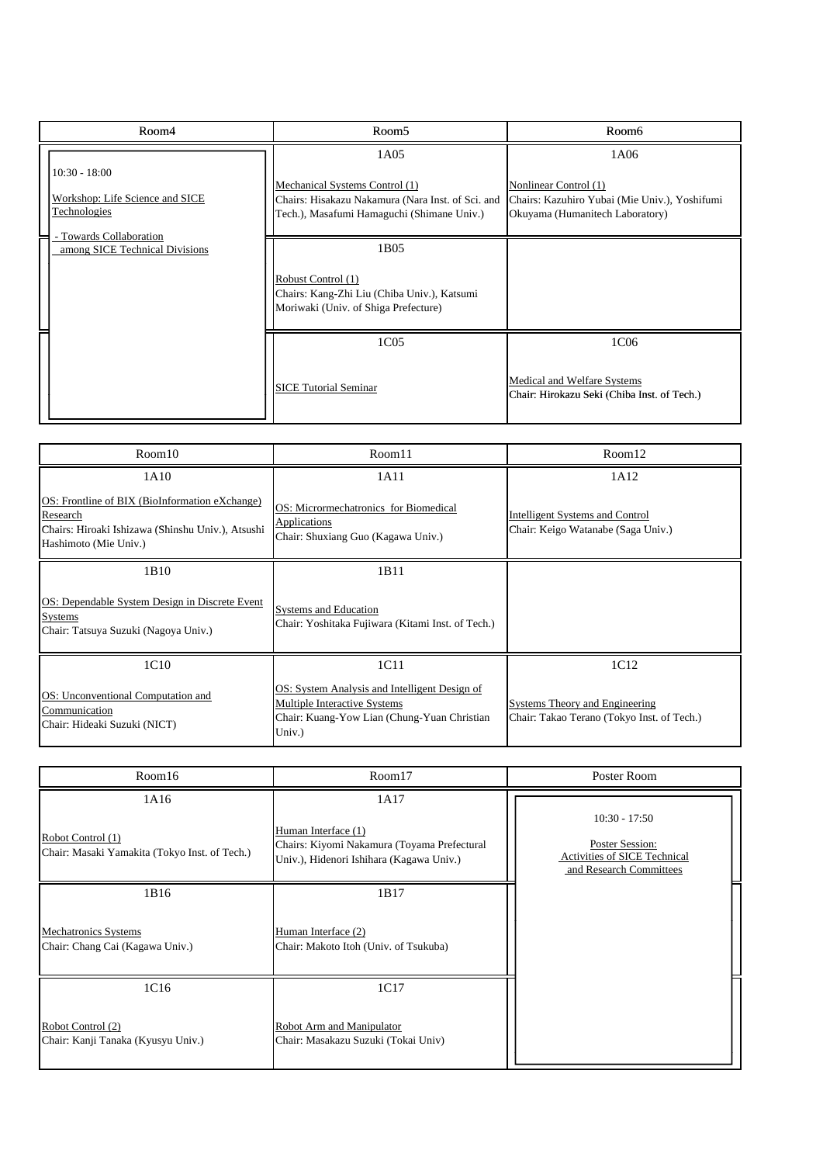| Room4                                                                     | Room <sub>5</sub>                                                                                                                         | Room6                                                                                                             |
|---------------------------------------------------------------------------|-------------------------------------------------------------------------------------------------------------------------------------------|-------------------------------------------------------------------------------------------------------------------|
| $10:30 - 18:00$<br>Workshop: Life Science and SICE<br><u>Technologies</u> | 1A05<br>Mechanical Systems Control (1)<br>Chairs: Hisakazu Nakamura (Nara Inst. of Sci. and<br>Tech.), Masafumi Hamaguchi (Shimane Univ.) | 1A06<br>Nonlinear Control (1)<br>Chairs: Kazuhiro Yubai (Mie Univ.), Yoshifumi<br>Okuyama (Humanitech Laboratory) |
| - Towards Collaboration<br>among SICE Technical Divisions                 | 1B05<br>Robust Control (1)<br>Chairs: Kang-Zhi Liu (Chiba Univ.), Katsumi<br>Moriwaki (Univ. of Shiga Prefecture)                         |                                                                                                                   |
|                                                                           | 1C05<br><b>SICE Tutorial Seminar</b>                                                                                                      | 1C06<br>Medical and Welfare Systems<br>Chair: Hirokazu Seki (Chiba Inst. of Tech.)                                |
| Room10                                                                    | Room11                                                                                                                                    | Room12                                                                                                            |

| Room10                                                                                                                                   | Room11                                                                                                                                 | Room12                                                                       |
|------------------------------------------------------------------------------------------------------------------------------------------|----------------------------------------------------------------------------------------------------------------------------------------|------------------------------------------------------------------------------|
| 1A10                                                                                                                                     | 1A11                                                                                                                                   | 1A12                                                                         |
| OS: Frontline of BIX (BioInformation eXchange)<br>Research<br>Chairs: Hiroaki Ishizawa (Shinshu Univ.), Atsushi<br>Hashimoto (Mie Univ.) | OS: Micrormechatronics for Biomedical<br>Applications<br>Chair: Shuxiang Guo (Kagawa Univ.)                                            | Intelligent Systems and Control<br>Chair: Keigo Watanabe (Saga Univ.)        |
| 1B10                                                                                                                                     | 1B11                                                                                                                                   |                                                                              |
| OS: Dependable System Design in Discrete Event<br>Systems<br>Chair: Tatsuya Suzuki (Nagoya Univ.)                                        | <b>Systems and Education</b><br>Chair: Yoshitaka Fujiwara (Kitami Inst. of Tech.)                                                      |                                                                              |
| 1C10                                                                                                                                     | 1C11                                                                                                                                   | 1C12                                                                         |
| OS: Unconventional Computation and<br>Communication<br>Chair: Hideaki Suzuki (NICT)                                                      | OS: System Analysis and Intelligent Design of<br>Multiple Interactive Systems<br>Chair: Kuang-Yow Lian (Chung-Yuan Christian<br>Univ.) | Systems Theory and Engineering<br>Chair: Takao Terano (Tokyo Inst. of Tech.) |
| Room16                                                                                                                                   | Room17                                                                                                                                 | Poster Room                                                                  |

| Room16                                                                     | Room17                                                                                                                 | Poster Room                                                                                   |
|----------------------------------------------------------------------------|------------------------------------------------------------------------------------------------------------------------|-----------------------------------------------------------------------------------------------|
| 1A16<br>Robot Control (1)<br>Chair: Masaki Yamakita (Tokyo Inst. of Tech.) | 1A17<br>Human Interface (1)<br>Chairs: Kiyomi Nakamura (Toyama Prefectural<br>Univ.), Hidenori Ishihara (Kagawa Univ.) | $10:30 - 17:50$<br>Poster Session:<br>Activities of SICE Technical<br>and Research Committees |
| 1B16<br>Mechatronics Systems<br>Chair: Chang Cai (Kagawa Univ.)            | 1B17<br>Human Interface (2)<br>Chair: Makoto Itoh (Univ. of Tsukuba)                                                   |                                                                                               |
| 1C16<br>Robot Control (2)<br>Chair: Kanji Tanaka (Kyusyu Univ.)            | 1C17<br>Robot Arm and Manipulator<br>Chair: Masakazu Suzuki (Tokai Univ)                                               |                                                                                               |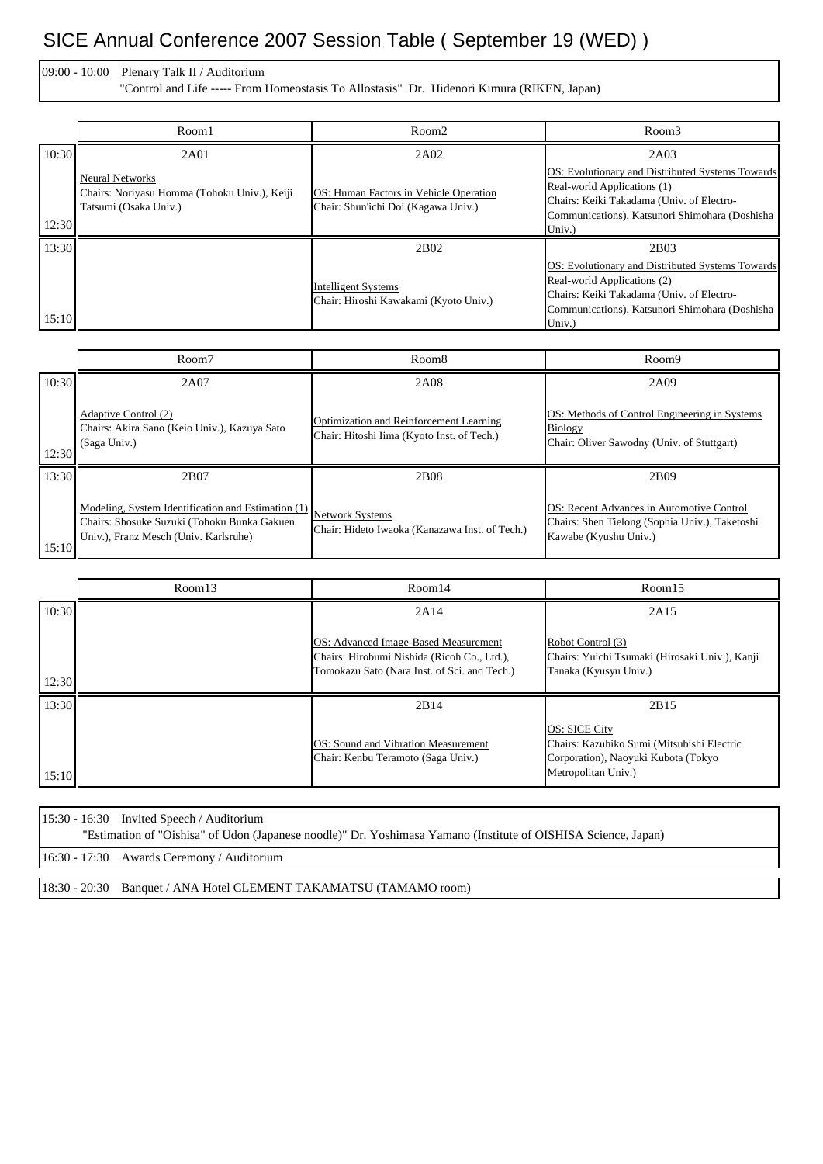## SICE Annual Conference 2007 Session Table ( September 19 (WED) )

09:00 - 10:00 Plenary Talk II / Auditorium "Control and Life ----- From Homeostasis To Allostasis" Dr. Hidenori Kimura (RIKEN, Japan)

|       | Room1                                                                                           | Room <sub>2</sub>                                                             | Room3                                                                                                                                                                                    |
|-------|-------------------------------------------------------------------------------------------------|-------------------------------------------------------------------------------|------------------------------------------------------------------------------------------------------------------------------------------------------------------------------------------|
| 10:30 | 2A01                                                                                            | 2A02                                                                          | 2A03                                                                                                                                                                                     |
| 12:30 | <b>Neural Networks</b><br>Chairs: Noriyasu Homma (Tohoku Univ.), Keiji<br>Tatsumi (Osaka Univ.) | OS: Human Factors in Vehicle Operation<br>Chair: Shun'ichi Doi (Kagawa Univ.) | OS: Evolutionary and Distributed Systems Towards<br>Real-world Applications (1)<br>Chairs: Keiki Takadama (Univ. of Electro-<br>Communications), Katsunori Shimohara (Doshisha<br>Univ.) |
| 13:30 |                                                                                                 | 2B02                                                                          | 2B03                                                                                                                                                                                     |
| 15:10 |                                                                                                 | <b>Intelligent Systems</b><br>Chair: Hiroshi Kawakami (Kyoto Univ.)           | OS: Evolutionary and Distributed Systems Towards<br>Real-world Applications (2)<br>Chairs: Keiki Takadama (Univ. of Electro-<br>Communications), Katsunori Shimohara (Doshisha<br>Univ.) |

|       | Room7                                                                                                                                      | Room <sub>8</sub>                                                                     | Room9                                                                                                                |
|-------|--------------------------------------------------------------------------------------------------------------------------------------------|---------------------------------------------------------------------------------------|----------------------------------------------------------------------------------------------------------------------|
| 10:30 | 2A07                                                                                                                                       | 2A08                                                                                  | 2A09                                                                                                                 |
| 12:30 | Adaptive Control (2)<br>Chairs: Akira Sano (Keio Univ.), Kazuya Sato<br>(Saga Univ.)                                                       | Optimization and Reinforcement Learning<br>Chair: Hitoshi Iima (Kyoto Inst. of Tech.) | OS: Methods of Control Engineering in Systems<br>Biology<br>Chair: Oliver Sawodny (Univ. of Stuttgart)               |
| 13:30 | 2B07                                                                                                                                       | 2 <sub>B08</sub>                                                                      | 2B <sub>09</sub>                                                                                                     |
| 15:10 | Modeling, System Identification and Estimation (1)<br>Chairs: Shosuke Suzuki (Tohoku Bunka Gakuen<br>Univ.), Franz Mesch (Univ. Karlsruhe) | <b>Network Systems</b><br>Chair: Hideto Iwaoka (Kanazawa Inst. of Tech.)              | OS: Recent Advances in Automotive Control<br>Chairs: Shen Tielong (Sophia Univ.), Taketoshi<br>Kawabe (Kyushu Univ.) |

|       | Room13 | Room14                                                                                                                              | Room15                                                                                                                           |
|-------|--------|-------------------------------------------------------------------------------------------------------------------------------------|----------------------------------------------------------------------------------------------------------------------------------|
| 10:30 |        | 2A14                                                                                                                                | 2A15                                                                                                                             |
| 12:30 |        | OS: Advanced Image-Based Measurement<br>Chairs: Hirobumi Nishida (Ricoh Co., Ltd.),<br>Tomokazu Sato (Nara Inst. of Sci. and Tech.) | Robot Control (3)<br>Chairs: Yuichi Tsumaki (Hirosaki Univ.), Kanji<br>Tanaka (Kyusyu Univ.)                                     |
| 13:30 |        | 2B14                                                                                                                                | 2B15                                                                                                                             |
| 15:10 |        | OS: Sound and Vibration Measurement<br>Chair: Kenbu Teramoto (Saga Univ.)                                                           | <b>OS: SICE City</b><br>Chairs: Kazuhiko Sumi (Mitsubishi Electric<br>Corporation), Naoyuki Kubota (Tokyo<br>Metropolitan Univ.) |

| $15:30 - 16:30$ Invited Speech / Auditorium                                                                    |
|----------------------------------------------------------------------------------------------------------------|
| "Estimation of "Oishisa" of Udon (Japanese noodle)" Dr. Yoshimasa Yamano (Institute of OISHISA Science, Japan) |
| 16:30 - 17:30 Awards Ceremony / Auditorium                                                                     |
|                                                                                                                |

18:30 - 20:30 Banquet / ANA Hotel CLEMENT TAKAMATSU (TAMAMO room)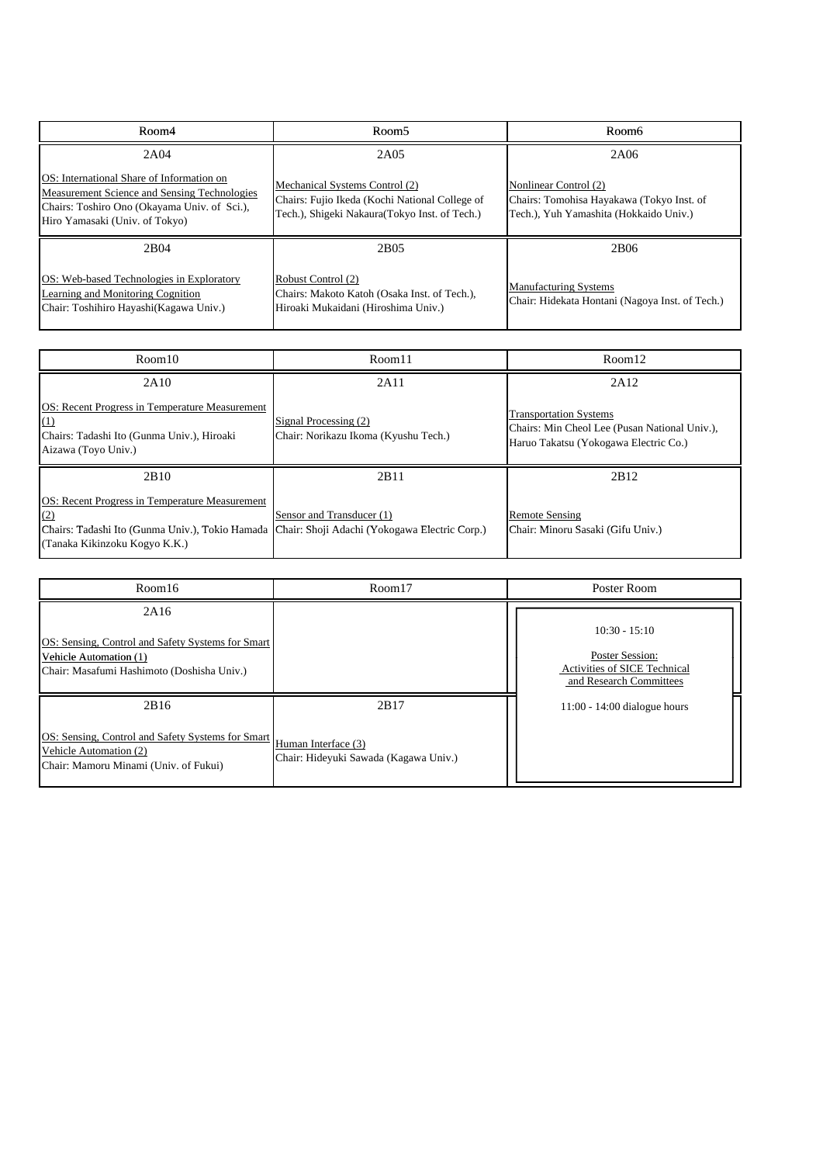| Room4                                                                                                                                                                               | Room <sub>5</sub>                                                                                                                  | Room6                                                                                                        |
|-------------------------------------------------------------------------------------------------------------------------------------------------------------------------------------|------------------------------------------------------------------------------------------------------------------------------------|--------------------------------------------------------------------------------------------------------------|
| 2A04                                                                                                                                                                                | 2A05                                                                                                                               | 2A06                                                                                                         |
| <b>OS</b> : International Share of Information on<br>Measurement Science and Sensing Technologies<br>Chairs: Toshiro Ono (Okayama Univ. of Sci.),<br>Hiro Yamasaki (Univ. of Tokyo) | Mechanical Systems Control (2)<br>Chairs: Fujio Ikeda (Kochi National College of<br>Tech.), Shigeki Nakaura (Tokyo Inst. of Tech.) | Nonlinear Control (2)<br>Chairs: Tomohisa Hayakawa (Tokyo Inst. of<br>Tech.), Yuh Yamashita (Hokkaido Univ.) |
| 2 <sub>B</sub> 04                                                                                                                                                                   | 2 <sub>B</sub> 05                                                                                                                  | 2B <sub>06</sub>                                                                                             |
| OS: Web-based Technologies in Exploratory<br>Learning and Monitoring Cognition<br>Chair: Toshihiro Hayashi(Kagawa Univ.)                                                            | Robust Control (2)<br>Chairs: Makoto Katoh (Osaka Inst. of Tech.),<br>Hiroaki Mukaidani (Hiroshima Univ.)                          | <b>Manufacturing Systems</b><br>Chair: Hidekata Hontani (Nagoya Inst. of Tech.)                              |

| Room10                                                                                                                                                                                  | Room11                                                        | Room12                                                                                                                  |
|-----------------------------------------------------------------------------------------------------------------------------------------------------------------------------------------|---------------------------------------------------------------|-------------------------------------------------------------------------------------------------------------------------|
| 2A10                                                                                                                                                                                    | 2A11                                                          | 2A12                                                                                                                    |
| OS: Recent Progress in Temperature Measurement<br>(1)<br>Chairs: Tadashi Ito (Gunma Univ.), Hiroaki<br>Aizawa (Toyo Univ.)                                                              | Signal Processing (2)<br>Chair: Norikazu Ikoma (Kyushu Tech.) | <b>Transportation Systems</b><br>Chairs: Min Cheol Lee (Pusan National Univ.),<br>Haruo Takatsu (Yokogawa Electric Co.) |
| 2B10                                                                                                                                                                                    | 2B11                                                          | 2B12                                                                                                                    |
| OS: Recent Progress in Temperature Measurement<br>(2)<br>Chairs: Tadashi Ito (Gunma Univ.), Tokio Hamada Chair: Shoji Adachi (Yokogawa Electric Corp.)<br>(Tanaka Kikinzoku Kogyo K.K.) | Sensor and Transducer (1)                                     | <b>Remote Sensing</b><br>Chair: Minoru Sasaki (Gifu Univ.)                                                              |
|                                                                                                                                                                                         |                                                               |                                                                                                                         |
| Room16                                                                                                                                                                                  | Room17                                                        | Poster Room                                                                                                             |

| Room16                                                                                                                            | Room17                                                               | Poster Room                                                                                          |
|-----------------------------------------------------------------------------------------------------------------------------------|----------------------------------------------------------------------|------------------------------------------------------------------------------------------------------|
| 2A16<br>OS: Sensing, Control and Safety Systems for Smart<br>Vehicle Automation (1)<br>Chair: Masafumi Hashimoto (Doshisha Univ.) |                                                                      | $10:30 - 15:10$<br>Poster Session:<br><b>Activities of SICE Technical</b><br>and Research Committees |
| 2B16<br>OS: Sensing, Control and Safety Systems for Smart<br>Vehicle Automation (2)<br>Chair: Mamoru Minami (Univ. of Fukui)      | 2B17<br>Human Interface (3)<br>Chair: Hideyuki Sawada (Kagawa Univ.) | $11:00 - 14:00$ dialogue hours                                                                       |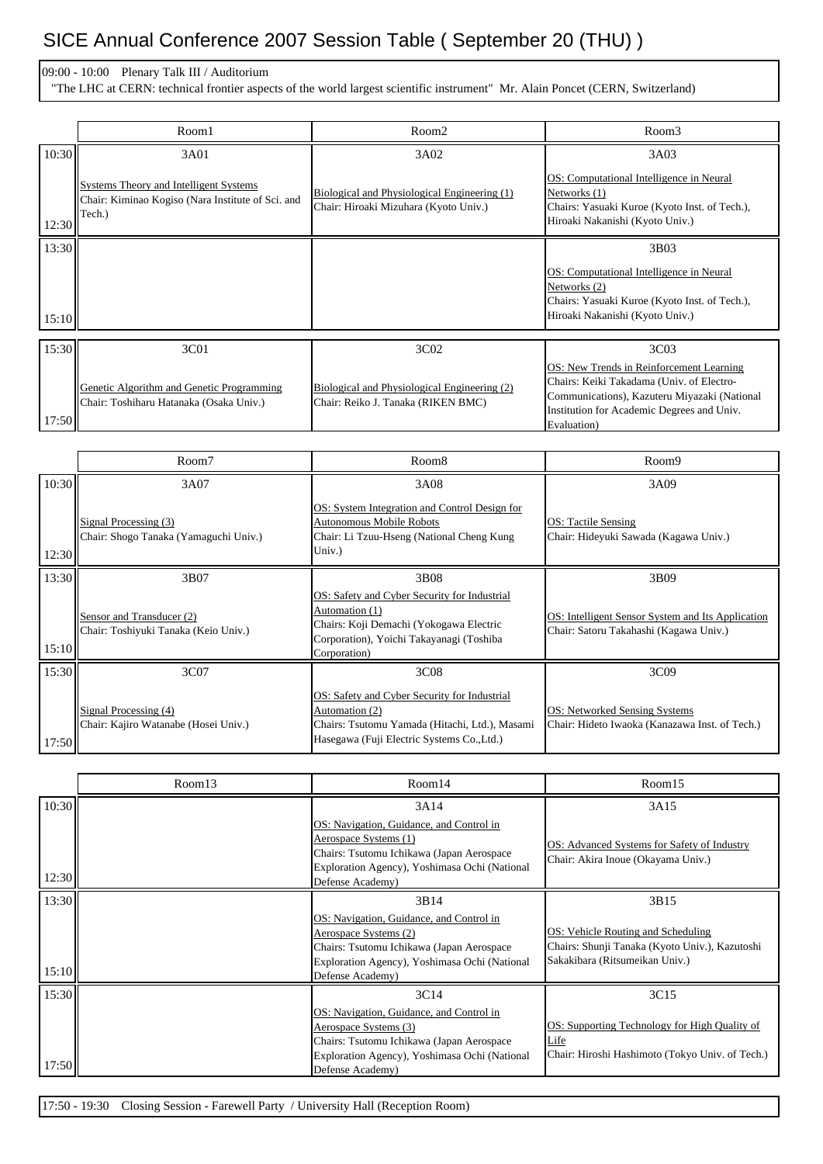## SICE Annual Conference 2007 Session Table ( September 20 (THU) )

## 09:00 - 10:00 Plenary Talk III / Auditorium

"The LHC at CERN: technical frontier aspects of the world largest scientific instrument" Mr. Alain Poncet (CERN, Switzerland)

|       | Room1                                                                                                 | Room <sub>2</sub>                                                                     | Room3                                                                                                                                                                                              |
|-------|-------------------------------------------------------------------------------------------------------|---------------------------------------------------------------------------------------|----------------------------------------------------------------------------------------------------------------------------------------------------------------------------------------------------|
| 10:30 | 3A01                                                                                                  | 3A02                                                                                  | 3A03                                                                                                                                                                                               |
| 12:30 | Systems Theory and Intelligent Systems<br>Chair: Kiminao Kogiso (Nara Institute of Sci. and<br>Tech.) | Biological and Physiological Engineering (1)<br>Chair: Hiroaki Mizuhara (Kyoto Univ.) | OS: Computational Intelligence in Neural<br>Networks (1)<br>Chairs: Yasuaki Kuroe (Kyoto Inst. of Tech.),<br>Hiroaki Nakanishi (Kyoto Univ.)                                                       |
| 13:30 |                                                                                                       |                                                                                       | 3B03                                                                                                                                                                                               |
| 15:10 |                                                                                                       |                                                                                       | OS: Computational Intelligence in Neural<br>Networks (2)<br>Chairs: Yasuaki Kuroe (Kyoto Inst. of Tech.),<br>Hiroaki Nakanishi (Kyoto Univ.)                                                       |
| 15:30 | 3C01                                                                                                  | 3C <sub>0</sub> 2                                                                     | 3C <sub>03</sub>                                                                                                                                                                                   |
| 17:50 | Genetic Algorithm and Genetic Programming<br>Chair: Toshiharu Hatanaka (Osaka Univ.)                  | Biological and Physiological Engineering (2)<br>Chair: Reiko J. Tanaka (RIKEN BMC)    | OS: New Trends in Reinforcement Learning<br>Chairs: Keiki Takadama (Univ. of Electro-<br>Communications), Kazuteru Miyazaki (National<br>Institution for Academic Degrees and Univ.<br>Evaluation) |

|       | Room7                                                             | Room <sub>8</sub>                                                                                                                                                     | Room9                                                                                       |
|-------|-------------------------------------------------------------------|-----------------------------------------------------------------------------------------------------------------------------------------------------------------------|---------------------------------------------------------------------------------------------|
| 10:30 | 3A07                                                              | 3A08                                                                                                                                                                  | 3A09                                                                                        |
| 12:30 | Signal Processing (3)<br>Chair: Shogo Tanaka (Yamaguchi Univ.)    | OS: System Integration and Control Design for<br>Autonomous Mobile Robots<br>Chair: Li Tzuu-Hseng (National Cheng Kung<br>Univ.)                                      | OS: Tactile Sensing<br>Chair: Hideyuki Sawada (Kagawa Univ.)                                |
| 13:30 | 3B07                                                              | 3B08                                                                                                                                                                  | 3B09                                                                                        |
| 15:10 | Sensor and Transducer (2)<br>Chair: Toshiyuki Tanaka (Keio Univ.) | OS: Safety and Cyber Security for Industrial<br>Automation (1)<br>Chairs: Koji Demachi (Yokogawa Electric<br>Corporation), Yoichi Takayanagi (Toshiba<br>Corporation) | OS: Intelligent Sensor System and Its Application<br>Chair: Satoru Takahashi (Kagawa Univ.) |
| 15:30 | 3C <sub>07</sub>                                                  | 3C08                                                                                                                                                                  | 3C09                                                                                        |
| 17:50 | Signal Processing (4)<br>Chair: Kajiro Watanabe (Hosei Univ.)     | OS: Safety and Cyber Security for Industrial<br>Automation (2)<br>Chairs: Tsutomu Yamada (Hitachi, Ltd.), Masami<br>Hasegawa (Fuji Electric Systems Co., Ltd.)        | OS: Networked Sensing Systems<br>Chair: Hideto Iwaoka (Kanazawa Inst. of Tech.)             |

|       | Room13 | Room14                                                                                                                                                                              | Room15                                                                                                                 |
|-------|--------|-------------------------------------------------------------------------------------------------------------------------------------------------------------------------------------|------------------------------------------------------------------------------------------------------------------------|
| 10:30 |        | 3A14                                                                                                                                                                                | 3A15                                                                                                                   |
| 12:30 |        | OS: Navigation, Guidance, and Control in<br>Aerospace Systems (1)<br>Chairs: Tsutomu Ichikawa (Japan Aerospace<br>Exploration Agency), Yoshimasa Ochi (National<br>Defense Academy) | OS: Advanced Systems for Safety of Industry<br>Chair: Akira Inoue (Okayama Univ.)                                      |
| 13:30 |        | 3B14                                                                                                                                                                                | 3B15                                                                                                                   |
| 15:10 |        | OS: Navigation, Guidance, and Control in<br>Aerospace Systems (2)<br>Chairs: Tsutomu Ichikawa (Japan Aerospace<br>Exploration Agency), Yoshimasa Ochi (National<br>Defense Academy) | OS: Vehicle Routing and Scheduling<br>Chairs: Shunji Tanaka (Kyoto Univ.), Kazutoshi<br>Sakakibara (Ritsumeikan Univ.) |
| 15:30 |        | 3C14                                                                                                                                                                                | 3C15                                                                                                                   |
| 17:50 |        | OS: Navigation, Guidance, and Control in<br>Aerospace Systems (3)<br>Chairs: Tsutomu Ichikawa (Japan Aerospace<br>Exploration Agency), Yoshimasa Ochi (National<br>Defense Academy) | OS: Supporting Technology for High Quality of<br>Life<br>Chair: Hiroshi Hashimoto (Tokyo Univ. of Tech.)               |